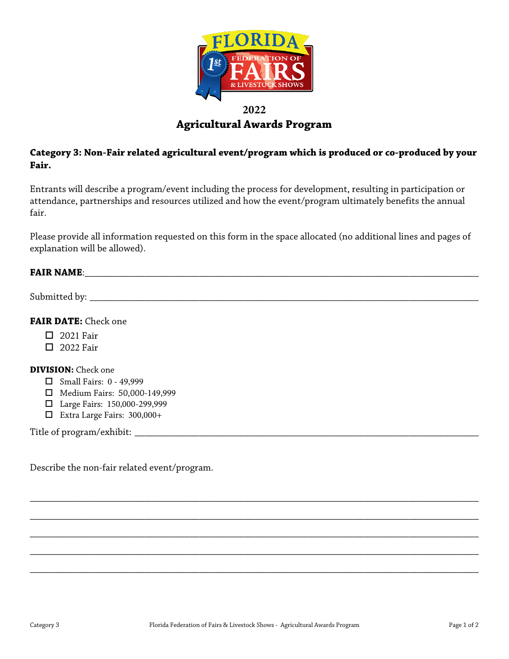

# **2022 Agricultural Awards Program**

## **Category 3: Non-Fair related agricultural event/program which is produced or co-produced by your Fair.**

Entrants will describe a program/event including the process for development, resulting in participation or attendance, partnerships and resources utilized and how the event/program ultimately benefits the annual fair.

Please provide all information requested on this form in the space allocated (no additional lines and pages of explanation will be allowed).

#### **FAIR NAME:**  $\blacksquare$

Submitted by: \_\_\_\_\_\_\_\_\_\_\_\_\_\_\_\_\_\_\_\_\_\_\_\_\_\_\_\_\_\_\_\_\_\_\_\_\_\_\_\_\_\_\_\_\_\_\_\_\_\_\_\_\_\_\_\_\_\_\_\_\_\_\_\_\_\_\_\_\_\_\_\_\_\_\_\_\_\_

### **FAIR DATE:** Check one

- $\Box$  2021 Fair
- $\Box$  2022 Fair

#### **DIVISION:** Check one

- $\Box$  Small Fairs: 0 49,999
- Medium Fairs: 50,000-149,999
- Large Fairs: 150,000-299,999
- Extra Large Fairs: 300,000+

Title of program/exhibit: \_\_\_\_\_\_\_\_\_\_\_\_\_\_\_\_\_\_\_\_\_\_\_\_\_\_\_\_\_\_\_\_\_\_\_\_\_\_\_\_\_\_\_\_\_\_\_\_\_\_\_\_\_\_\_\_\_\_\_\_\_\_\_\_\_\_\_\_\_

Describe the non-fair related event/program.

\_\_\_\_\_\_\_\_\_\_\_\_\_\_\_\_\_\_\_\_\_\_\_\_\_\_\_\_\_\_\_\_\_\_\_\_\_\_\_\_\_\_\_\_\_\_\_\_\_\_\_\_\_\_\_\_\_\_\_\_\_\_\_\_\_\_\_\_\_\_\_\_\_\_\_\_\_\_\_\_\_\_\_\_\_\_\_\_\_\_

\_\_\_\_\_\_\_\_\_\_\_\_\_\_\_\_\_\_\_\_\_\_\_\_\_\_\_\_\_\_\_\_\_\_\_\_\_\_\_\_\_\_\_\_\_\_\_\_\_\_\_\_\_\_\_\_\_\_\_\_\_\_\_\_\_\_\_\_\_\_\_\_\_\_\_\_\_\_\_\_\_\_\_\_\_\_\_\_\_\_

\_\_\_\_\_\_\_\_\_\_\_\_\_\_\_\_\_\_\_\_\_\_\_\_\_\_\_\_\_\_\_\_\_\_\_\_\_\_\_\_\_\_\_\_\_\_\_\_\_\_\_\_\_\_\_\_\_\_\_\_\_\_\_\_\_\_\_\_\_\_\_\_\_\_\_\_\_\_\_\_\_\_\_\_\_\_\_\_\_\_

\_\_\_\_\_\_\_\_\_\_\_\_\_\_\_\_\_\_\_\_\_\_\_\_\_\_\_\_\_\_\_\_\_\_\_\_\_\_\_\_\_\_\_\_\_\_\_\_\_\_\_\_\_\_\_\_\_\_\_\_\_\_\_\_\_\_\_\_\_\_\_\_\_\_\_\_\_\_\_\_\_\_\_\_\_\_\_\_\_\_

\_\_\_\_\_\_\_\_\_\_\_\_\_\_\_\_\_\_\_\_\_\_\_\_\_\_\_\_\_\_\_\_\_\_\_\_\_\_\_\_\_\_\_\_\_\_\_\_\_\_\_\_\_\_\_\_\_\_\_\_\_\_\_\_\_\_\_\_\_\_\_\_\_\_\_\_\_\_\_\_\_\_\_\_\_\_\_\_\_\_